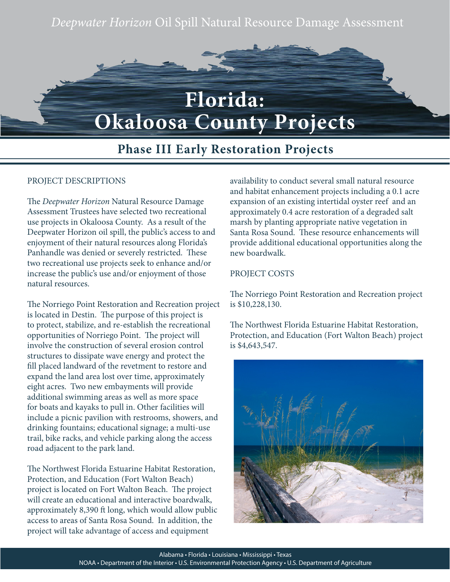# *Deepwater Horizon* Oil Spill Natural Resource Damage Assessment



## **Phase III Early Restoration Projects**

#### PROJECT DESCRIPTIONS

The *Deepwater Horizon* Natural Resource Damage Assessment Trustees have selected two recreational use projects in Okaloosa County. As a result of the Deepwater Horizon oil spill, the public's access to and enjoyment of their natural resources along Florida's Panhandle was denied or severely restricted. These two recreational use projects seek to enhance and/or increase the public's use and/or enjoyment of those natural resources.

The Norriego Point Restoration and Recreation project is located in Destin. The purpose of this project is to protect, stabilize, and re-establish the recreational opportunities of Norriego Point. The project will involve the construction of several erosion control structures to dissipate wave energy and protect the fill placed landward of the revetment to restore and expand the land area lost over time, approximately eight acres. Two new embayments will provide additional swimming areas as well as more space for boats and kayaks to pull in. Other facilities will include a picnic pavilion with restrooms, showers, and drinking fountains; educational signage; a multi-use trail, bike racks, and vehicle parking along the access road adjacent to the park land.

The Northwest Florida Estuarine Habitat Restoration, Protection, and Education (Fort Walton Beach) project is located on Fort Walton Beach. The project will create an educational and interactive boardwalk, approximately 8,390 ft long, which would allow public access to areas of Santa Rosa Sound. In addition, the project will take advantage of access and equipment

availability to conduct several small natural resource and habitat enhancement projects including a 0.1 acre expansion of an existing intertidal oyster reef and an approximately 0.4 acre restoration of a degraded salt marsh by planting appropriate native vegetation in Santa Rosa Sound. These resource enhancements will provide additional educational opportunities along the new boardwalk.

#### PROJECT COSTS

The Norriego Point Restoration and Recreation project is \$10,228,130.

The Northwest Florida Estuarine Habitat Restoration, Protection, and Education (Fort Walton Beach) project is \$4,643,547.